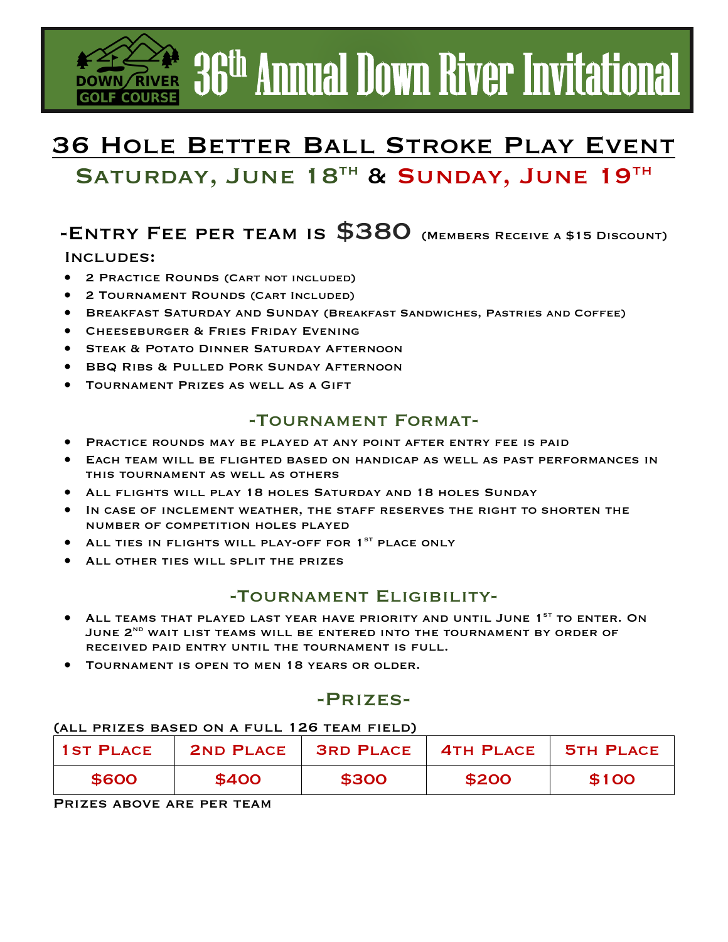# **EXAMPLE 36<sup>th</sup> Annual Down River Invitational**

## 36 Hole Better Ball Stroke Play Event SATURDAY, JUNE 18TH & SUNDAY, JUNE 19TH

## -ENTRY FEE PER TEAM IS  $$380$  (MEMBERS RECEIVE A \$15 DISCOUNT)

### Includes:

- 2 Practice Rounds (Cart not included)
- 2 Tournament Rounds (Cart Included)
- Breakfast Saturday and Sunday (Breakfast Sandwiches, Pastries and Coffee)
- **CHEESEBURGER & FRIES FRIDAY EVENING**
- **STEAK & POTATO DINNER SATURDAY AFTERNOON**
- BBQ Ribs & Pulled Pork Sunday Afternoon
- TOURNAMENT PRIZES AS WELL AS A GIFT

### -Tournament Format-

- Practice rounds may be played at any point after entry fee is paid
- Each team will be flighted based on handicap as well as past performances in this tournament as well as others
- All flights will play 18 holes Saturday and 18 holes Sunday
- IN CASE OF INCLEMENT WEATHER, THE STAFF RESERVES THE RIGHT TO SHORTEN THE number of competition holes played
- ALL TIES IN FLIGHTS WILL PLAY-OFF FOR 1<sup>st</sup> PLACE ONLY
- ALL OTHER TIES WILL SPLIT THE PRIZES

### -Tournament Eligibility-

- ALL TEAMS THAT PLAYED LAST YEAR HAVE PRIORITY AND UNTIL JUNE 1<sup>st</sup> TO ENTER. ON JUNE 2<sup>ND</sup> WAIT LIST TEAMS WILL BE ENTERED INTO THE TOURNAMENT BY ORDER OF received paid entry until the tournament is full.
- Tournament is open to men 18 years or older.

### -Prizes-

### (all prizes based on a full 126 team field)

| <b>1ST PLACE</b> |       | 2ND PLACE   3RD PLACE   4TH PLACE   5TH PLACE |       |       |
|------------------|-------|-----------------------------------------------|-------|-------|
| \$600            | \$400 | \$300                                         | \$200 | \$100 |

Prizes above are per team